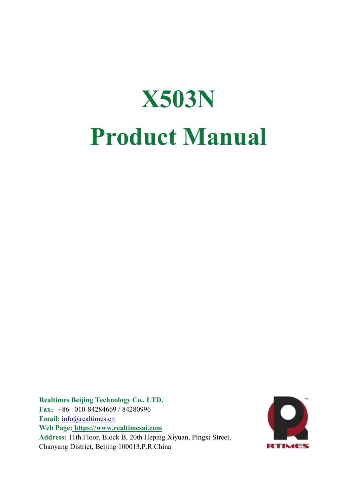# **X503N Product Manual**

**Realtimes Beijing Technology Co., LTD. Fax**:+86 010-84284669 / 84280996 Email: [info@realtimes.cn](mailto:info@realtimes.cn) **Web Page: <https://www.realtimesai.com> Address:** 11th Floor, Block B, 20th Heping Xiyuan, Pingxi Street, Chaoyang District, Beijing 100013,P.R.China

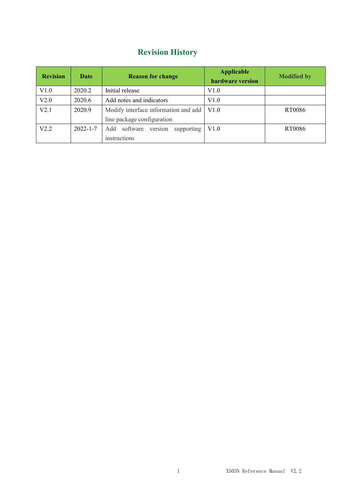# **Revision History**

| <b>Revision</b> | Date           | <b>Reason for change</b>             | <b>Applicable</b><br>hardware version | <b>Modified by</b> |
|-----------------|----------------|--------------------------------------|---------------------------------------|--------------------|
| V1.0            | 2020.2         | Initial release                      | V1.0                                  |                    |
| V2.0            | 2020.6         | Add notes and indicators             | V1.0                                  |                    |
| V2.1            | 2020.9         | Modify interface information and add | V1.0                                  | RT0086             |
|                 |                | line package configuration           |                                       |                    |
| V2.2            | $2022 - 1 - 7$ | Add software version supporting      | V1.0                                  | RT0086             |
|                 |                | instructions                         |                                       |                    |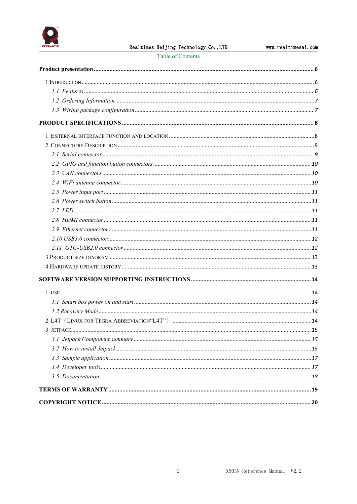

Table of Contents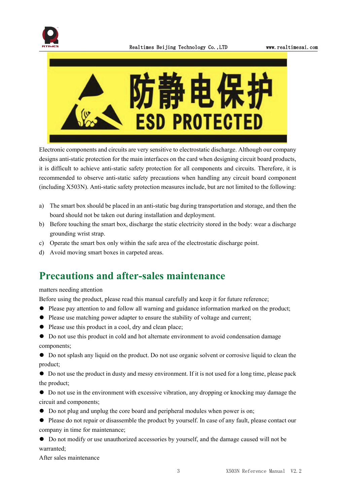



Electronic components and circuits are very sensitive to electrostatic discharge. Although our company designs anti-static protection for the main interfaces on the card when designing circuit board products, it is difficult to achieve anti-static safety protection for all components and circuits. Therefore, it is recommended to observe anti-static safety precautions when handling any circuit board component (including X503N). Anti-static safety protection measures include, but are not limited to the following:

- a) The smart box should be placed in an anti-static bag during transportation and storage, and then the board should not be taken out during installation and deployment.
- b) Before touching the smart box, discharge the static electricity stored in the body: wear a discharge grounding wrist strap.
- c) Operate the smart box only within the safe area of the electrostatic discharge point.
- d) Avoid moving smart boxes in carpeted areas.

# **Precautions and after-sales maintenance**

#### matters needing attention

Before using the product, please read this manual carefully and keep it for future reference;

- ⚫ Please pay attention to and follow all warning and guidance information marked on the product;
- ⚫ Please use matching power adapter to ensure the stability of voltage and current;
- ⚫ Please use this product in a cool, dry and clean place;
- ⚫ Do not use this product in cold and hot alternate environment to avoid condensation damage components;

⚫ Do not splash any liquid on the product. Do not use organic solventor corrosive liquid to clean the product;

⚫ Do not use the product in dusty and messy environment. If it is not used for a long time, please pack the product;

⚫ Do not use in the environment with excessive vibration, any dropping or knocking may damage the circuit and components;

- ⚫ Do not plug and unplug the core board and peripheral modules when power is on;
- $\bullet$  Please do not repair or disassemble the product by yourself. In case of any fault, please contact our company in time for maintenance;
- ⚫ Do not modify or use unauthorized accessories by yourself, and the damage caused will not be warranted;

After sales maintenance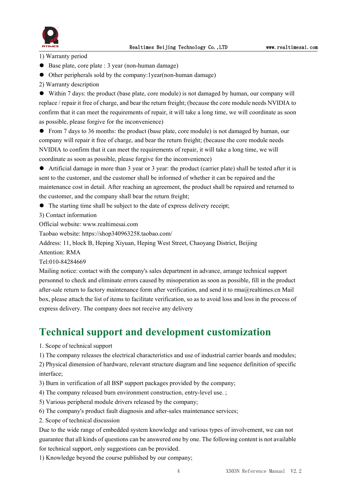

1) Warranty period

- Base plate, core plate : 3 year (non-human damage)
- ⚫ Other peripherals sold by the company:1year(non-human damage)
- 2) Warranty description

⚫ Within 7 days: the product (base plate, core module) is not damaged by human, our company will replace / repair it free of charge, and bear the return freight; (because the core module needs NVIDIA to confirm that it can meet the requirements of repair, it will take a long time, we will coordinate as soon as possible, please forgive for the inconvenience)

⚫ From 7 daysto 36 months: the product (base plate, core module) is not damaged by human, our company will repair it free of charge, and bear the return freight; (because the core module needs NVIDIA to confirm that it can meet the requirements of repair, it will take a long time, we will coordinate as soon as possible, please forgive for the inconvenience)

⚫ Artificial damage in more than 3 year or 3 year: the product (carrier plate) shall be tested after it is sent to the customer, and the customer shall be informed of whether it can be repaired and the maintenance cost in detail. After reaching an agreement, the product shall be repaired and returned to the customer, and the company shall bear the return freight;

● The starting time shall be subject to the date of express delivery receipt;

3) Contact information

Official website: www.realtimesai.com

Taobao website: https://shop340963258.taobao.com/

Address: 11, block B, Heping Xiyuan, Heping West Street, Chaoyang District, Beijing

Attention: RMA

Tel:010-84284669

Mailing notice: contact with the company's sales department in advance, arrange technical support personnel to check and eliminate errors caused by misoperation as soon as possible, fill in the product after-sale return to factory maintenance form after verification, and send it to rma@realtimes.cn Mail box, please attach the list of items to facilitate verification, so as to avoid loss and loss in the process of express delivery. The company does not receive any delivery

### **Technical support and development customization**

1. Scope of technical support

1) The company releases the electrical characteristics and use of industrial carrier boards and modules;

2) Physical dimension of hardware, relevant structure diagram and line sequence definition of specific interface;

- 3) Burn in verification of all BSP support packages provided by the company;
- 4) The company released burn environment construction, entry-level use. ;
- 5) Various peripheral module drivers released by the company;
- 6) The company's product fault diagnosis and after-sales maintenance services;
- 2. Scope of technical discussion

Due to the wide range of embedded system knowledge and various types ofinvolvement, we can not guarantee that all kinds of questions can be answered one by one.The following content is not available for technical support, only suggestions can be provided.

1) Knowledge beyond the course published by our company;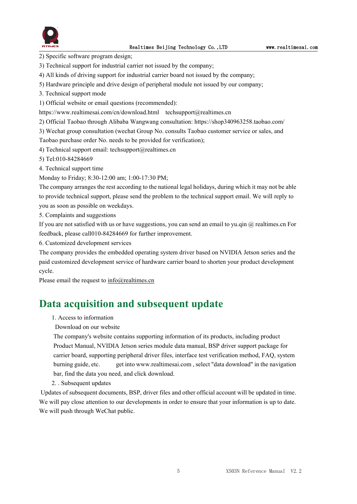

2) Specific software program design;

- 3) Technical support for industrial carrier not issued by the company;
- 4) All kinds of driving support for industrial carrier board not issued by the company;
- 5) Hardware principle and drive design of peripheral module not issued by our company;
- 3. Technical support mode
- 1) Official website or email questions (recommended):

https://www.realtimesai.com/cn/download.html techsupport@realtimes.cn

2) Official Taobao through Alibaba Wangwang consultation: https://shop340963258.taobao.com/

3) Wechat group consultation (wechat Group No. consults Taobao customer service or sales, and

Taobao purchase order No. needs to be provided for verification);

4) Technical support email: techsupport@realtimes.cn

5) Tel:010-84284669

4. Technical support time

Monday to Friday; 8:30-12:00 am; 1:00-17:30 PM;

The company arranges the rest according to the national legal holidays, during which it may notbe able to provide technical support, please send the problem to the technical support email. We will reply to you as soon as possible on weekdays.

5. Complaints and suggestions

If you are not satisfied with us or have suggestions, you can send an email to yu.qin @ realtimes.cn For feedback, please call010-84284669 for further improvement.

6. Customized development services

The company provides the embedded operating system driver based on NVIDIA Jetson series and the paid customized development service of hardware carrier board to shorten your product development cycle.

Please email the request to [info@realtimes.cn](mailto:info@realtimes.cn)

### **Data acquisition and subsequent update**

1. Access to information

Download on our website

The company's website contains supporting information of its products, including product Product Manual, NVIDIA Jetson series module data manual, BSP driver support package for carrier board, supporting peripheral driver files, interface test verification method, FAQ, system burning guide, etc. get into www.realtimesai.com , select "data download" in the navigation bar, find the data you need, and click download.

2. . Subsequent updates

Updates of subsequent documents, BSP, driver files and other official account will be updated in time. We will pay close attention to our developments in order to ensure that your information is up to date. We will push through WeChat public.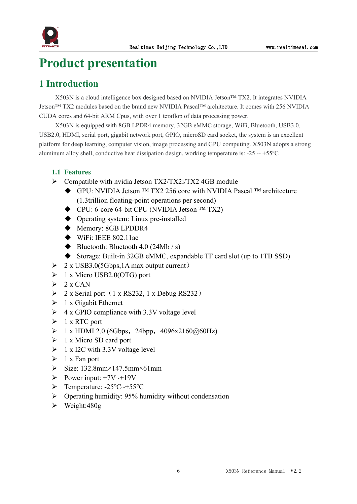

# <span id="page-6-0"></span>**Product presentation**

### <span id="page-6-1"></span>**1 Introduction**

X503N is a cloud intelligence box designed based on NVIDIA Jetson™ TX2. It integrates NVIDIA Jetson™ TX2 modules based on the brand new NVIDIA Pascal™ architecture. It comes with 256 NVIDIA CUDA cores and 64-bit ARM Cpus, with over 1 teraflop of data processing power.

X503N is equipped with 8GB LPDR4 memory, 32GB eMMC storage, WiFi, Bluetooth, USB3.0, USB2.0, HDMI, serial port, gigabit network port, GPIO, microSD card socket, the system is an excellent platform for deep learning, computer vision, image processing and GPU computing. X503N adopts a strong aluminum alloy shell, conductive heat dissipation design, working temperature is: -25 -- +55℃

#### <span id="page-6-2"></span>**1.1 Features**

- $\triangleright$  Compatible with nvidia Jetson TX2/TX2i/TX2 4GB module
	- GPU: NVIDIA Jetson ™ TX2 256 core with NVIDIA Pascal ™ architecture (1.3trillion floating-point operations per second)
	- CPU: 6-core 64-bit CPU (NVIDIA Jetson ™ TX2)
	- ◆ Operating system: Linux pre-installed
	- ◆ Memory: 8GB LPDDR4
	- $\blacklozenge$  WiFi: IEEE 802.11ac
	- $\blacklozenge$  Bluetooth: Bluetooth 4.0 (24Mb / s)
	- Storage: Built-in 32GB eMMC, expandable TF card slot (up to 1TB SSD)
- $\geq 2$  x USB3.0(5Gbps, 1A max output current)
- $\triangleright$  1 x Micro USB2.0(OTG) port
- $\geq 2$  x CAN
- $\geq$  2 x Serial port (1 x RS232, 1 x Debug RS232)
- $\triangleright$  1 x Gigabit Ethernet
- $\triangleright$  4 x GPIO compliance with 3.3V voltage level
- $\triangleright$  1 x RTC port
- $\geq 1$  x HDMI 2.0 (6Gbps, 24bpp, 4096x2160@60Hz)
- $\triangleright$  1 x Micro SD card port
- $\geq 1$  x I2C with 3.3V voltage level
- $\triangleright$  1 x Fan port
- $\triangleright$  Size: 132.8mm×147.5mm×61mm
- $\triangleright$  Power input: +7V~+19V
- Temperature: -25℃~+55℃
- $\triangleright$  Operating humidity: 95% humidity without condensation
- $\triangleright$  Weight:480g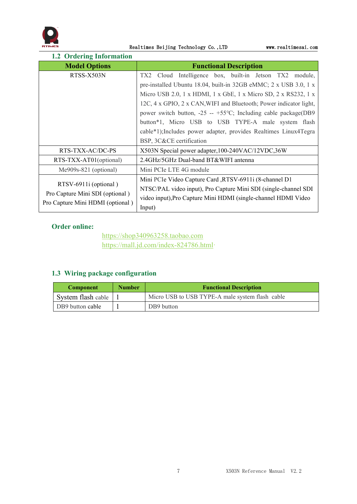

Realtimes Beijing Technology Co., LTD www.realtimesai.com

<span id="page-7-0"></span>

| <b>1.2 Ordering Information</b>                                                              |                                                                                                                                                                                                                                                                                                                                                                                                                                                                                                |
|----------------------------------------------------------------------------------------------|------------------------------------------------------------------------------------------------------------------------------------------------------------------------------------------------------------------------------------------------------------------------------------------------------------------------------------------------------------------------------------------------------------------------------------------------------------------------------------------------|
| <b>Model Options</b>                                                                         | <b>Functional Description</b>                                                                                                                                                                                                                                                                                                                                                                                                                                                                  |
| RTSS-X503N                                                                                   | TX2 Cloud Intelligence box, built-in Jetson TX2 module,<br>pre-installed Ubuntu 18.04, built-in 32GB eMMC; 2 x USB 3.0, 1 x<br>Micro USB 2.0, 1 x HDMI, 1 x GbE, 1 x Micro SD, 2 x RS232, 1 x<br>12C, 4 x GPIO, 2 x CAN, WIFI and Bluetooth; Power indicator light,<br>power switch button, $-25 - +55$ °C; Including cable package(DB9<br>button*1, Micro USB to USB TYPE-A male system flash<br>cable*1); Includes power adapter, provides Realtimes Linux4Tegra<br>BSP, 3C&CE certification |
| RTS-TXX-AC/DC-PS                                                                             | X503N Special power adapter, 100-240VAC/12VDC, 36W                                                                                                                                                                                                                                                                                                                                                                                                                                             |
| RTS-TXX-AT01(optional)                                                                       | 2.4GHz/5GHz Dual-band BT&WIFI antenna                                                                                                                                                                                                                                                                                                                                                                                                                                                          |
| $Me909s-821$ (optional)                                                                      | Mini PCIe LTE 4G module                                                                                                                                                                                                                                                                                                                                                                                                                                                                        |
| RTSV-6911i (optional)<br>Pro Capture Mini SDI (optional)<br>Pro Capture Mini HDMI (optional) | Mini PCIe Video Capture Card ,RTSV-6911i (8-channel D1<br>NTSC/PAL video input), Pro Capture Mini SDI (single-channel SDI<br>video input), Pro Capture Mini HDMI (single-channel HDMI Video<br>Input)                                                                                                                                                                                                                                                                                          |

#### **Order online:**

<https://shop340963258.taobao.com> [https://mall.jd.com/index-824786.html·](https://mall.jd.com/index-824786.html)

#### <span id="page-7-1"></span>**1.3 Wiring package configuration**

| <b>Component</b>   | <b>Number</b> | <b>Functional Description</b>                   |
|--------------------|---------------|-------------------------------------------------|
| System flash cable |               | Micro USB to USB TYPE-A male system flash cable |
| DB9 button cable   |               | DB9 button                                      |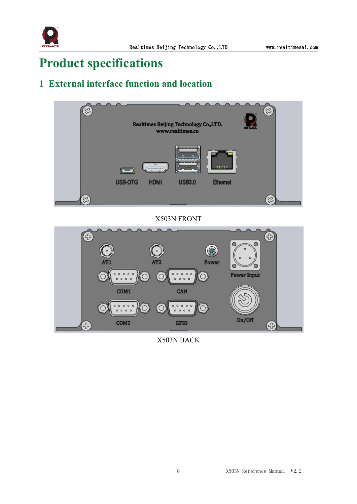

# <span id="page-8-0"></span>**Product specifications**

# <span id="page-8-1"></span>**1 Externalinterface function and location**



X503N FRONT



X503N BACK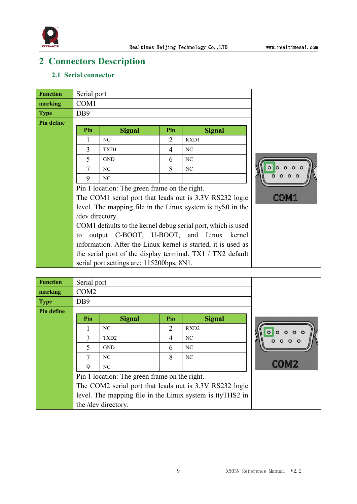

# <span id="page-9-0"></span>**2 Connectors Description**

#### <span id="page-9-1"></span>**2.1 Serial connector**

| <b>Function</b> | Serial port      |                                               |     |                                                               |      |  |
|-----------------|------------------|-----------------------------------------------|-----|---------------------------------------------------------------|------|--|
| marking         | COM <sub>1</sub> |                                               |     |                                                               |      |  |
| <b>Type</b>     | D <sub>B</sub> 9 |                                               |     |                                                               |      |  |
| Pin define      |                  |                                               |     |                                                               |      |  |
|                 | Pin              | <b>Signal</b>                                 | Pin | <b>Signal</b>                                                 |      |  |
|                 |                  | NC                                            | 2   | RXD1                                                          |      |  |
|                 | 3                | TXD1                                          | 4   | NC                                                            |      |  |
|                 | 5                | <b>GND</b>                                    | 6   | NC                                                            |      |  |
|                 |                  | NC                                            | 8   | NC                                                            |      |  |
|                 | 9                | NC                                            |     |                                                               | 0000 |  |
|                 |                  | Pin 1 location: The green frame on the right. |     |                                                               |      |  |
|                 |                  |                                               |     | The COM1 serial port that leads out is 3.3V RS232 logic       |      |  |
|                 |                  |                                               |     | level. The mapping file in the Linux system is ttyS0 in the   |      |  |
|                 | /dev directory.  |                                               |     |                                                               |      |  |
|                 |                  |                                               |     | COM1 defaults to the kernel debug serial port, which is used  |      |  |
|                 | to               |                                               |     | output C-BOOT, U-BOOT, and Linux kernel                       |      |  |
|                 |                  |                                               |     | information. After the Linux kernel is started, it is used as |      |  |
|                 |                  |                                               |     | the serial port of the display terminal. $TX1 / TX2$ default  |      |  |
|                 |                  | serial port settings are: 115200bps, 8N1.     |     |                                                               |      |  |

| <b>Function</b> | Serial port      |                                               |                |                                                           |  |
|-----------------|------------------|-----------------------------------------------|----------------|-----------------------------------------------------------|--|
| marking         | COM <sub>2</sub> |                                               |                |                                                           |  |
| <b>Type</b>     | DB <sub>9</sub>  |                                               |                |                                                           |  |
| Pin define      |                  |                                               |                |                                                           |  |
|                 | Pin              | <b>Signal</b>                                 | Pin            | <b>Signal</b>                                             |  |
|                 |                  | NC                                            | $\overline{2}$ | RXD <sub>2</sub>                                          |  |
|                 | 3                | TXD <sub>2</sub>                              | 4              | NC                                                        |  |
|                 | 5                | <b>GND</b>                                    | 6              | NC                                                        |  |
|                 |                  | NC                                            | 8              | NC                                                        |  |
|                 | 9                | NC                                            |                |                                                           |  |
|                 |                  | Pin 1 location: The green frame on the right. |                |                                                           |  |
|                 |                  |                                               |                | The COM2 serial port that leads out is 3.3V RS232 logic   |  |
|                 |                  |                                               |                | level. The mapping file in the Linux system is ttyTHS2 in |  |
|                 |                  | the /dev directory.                           |                |                                                           |  |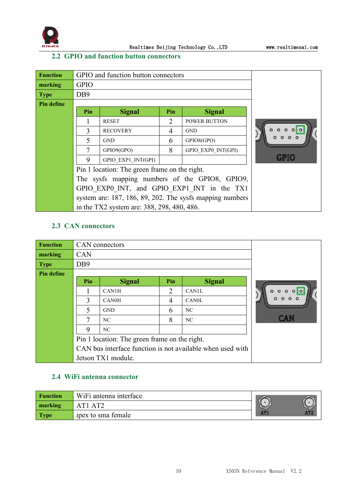

#### <span id="page-10-0"></span>**2.2 GPIO and function button connectors**

| <b>Function</b> |                  | GPIO and function button connectors           |     |                                                          |                         |  |
|-----------------|------------------|-----------------------------------------------|-----|----------------------------------------------------------|-------------------------|--|
| marking         | <b>GPIO</b>      |                                               |     |                                                          |                         |  |
| <b>Type</b>     | D <sub>B</sub> 9 |                                               |     |                                                          |                         |  |
| Pin define      |                  |                                               |     |                                                          |                         |  |
|                 | Pin              | <b>Signal</b>                                 | Pin | <b>Signal</b>                                            |                         |  |
|                 |                  | <b>RESET</b>                                  | 2   | <b>POWER BUTTON</b>                                      |                         |  |
|                 | 3                | <b>RECOVERY</b>                               | 4   | <b>GND</b>                                               | $\circ$ $\circ$ $\circ$ |  |
|                 |                  | <b>GND</b>                                    | 6   | GPIO8(GPO)                                               |                         |  |
|                 | 7                | GPIO9(GPO)                                    | 8   | GPIO EXP0 INT(GPI)                                       |                         |  |
|                 | 9                | GPIO EXP1 INT(GPI)                            |     |                                                          |                         |  |
|                 |                  | Pin 1 location: The green frame on the right. |     |                                                          |                         |  |
|                 |                  |                                               |     | The sysfs mapping numbers of the GPIO8, GPIO9,           |                         |  |
|                 |                  |                                               |     | GPIO EXP0 INT, and GPIO EXP1 INT in the TX1              |                         |  |
|                 |                  |                                               |     | system are: 187, 186, 89, 202. The sysfs mapping numbers |                         |  |
|                 |                  | in the TX2 system are: 388, 298, 480, 486.    |     |                                                          |                         |  |

#### <span id="page-10-1"></span>**2.3 CAN connectors**

| <b>Function</b>   |                 | CAN connectors                                |                |                                                            |      |
|-------------------|-----------------|-----------------------------------------------|----------------|------------------------------------------------------------|------|
| marking           | <b>CAN</b>      |                                               |                |                                                            |      |
| <b>Type</b>       | DB <sub>9</sub> |                                               |                |                                                            |      |
| <b>Pin define</b> |                 |                                               |                |                                                            |      |
|                   | Pin             | <b>Signal</b>                                 | Pin            | <b>Signal</b>                                              |      |
|                   |                 | CAN1H                                         | $\overline{2}$ | <b>CAN1L</b>                                               | 000  |
|                   | 3               | <b>CAN0H</b>                                  | 4              | <b>CANOL</b>                                               |      |
|                   | 5               | <b>GND</b>                                    | 6              | NC                                                         |      |
|                   | $\tau$          | NC                                            | 8              | NC                                                         | L.Ar |
|                   | 9               | NC                                            |                |                                                            |      |
|                   |                 | Pin 1 location: The green frame on the right. |                |                                                            |      |
|                   |                 |                                               |                | CAN bus interface function is not available when used with |      |
|                   |                 | Jetson TX1 module.                            |                |                                                            |      |

#### <span id="page-10-2"></span>**2.4 WiFi antenna connector**

| <b>Function</b> | WiFi antenna interface     |                 |                 |
|-----------------|----------------------------|-----------------|-----------------|
| marking         | AT1 AT2                    |                 |                 |
| <b>Type</b>     | <i>i</i> pex to sma female | AT <sub>1</sub> | AT <sub>2</sub> |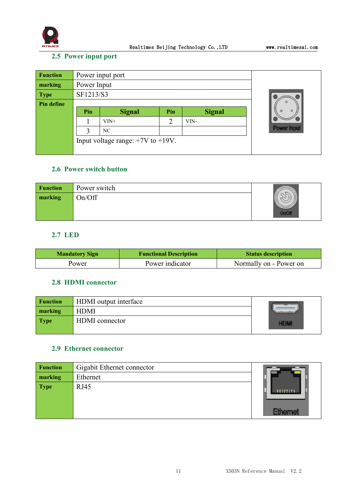

#### <span id="page-11-0"></span>**2.5 Power input port**

| <b>Function</b> | Power input port |                                        |     |               |  |                    |
|-----------------|------------------|----------------------------------------|-----|---------------|--|--------------------|
| marking         | Power Input      |                                        |     |               |  |                    |
| <b>Type</b>     | SF1213/S3        |                                        |     |               |  |                    |
| Pin define      |                  |                                        |     |               |  |                    |
|                 | Pin              | <b>Signal</b>                          | Pin | <b>Signal</b> |  |                    |
|                 |                  | $VIN+$                                 | っ   | VIN-          |  |                    |
|                 | $\mathcal{Z}$    | NC                                     |     |               |  | <b>Power Input</b> |
|                 |                  | Input voltage range: $+7V$ to $+19V$ . |     |               |  |                    |
|                 |                  |                                        |     |               |  |                    |

#### <span id="page-11-1"></span>**2.6 Power switch button**

| <b>Function</b> | Power switch |      |
|-----------------|--------------|------|
| marking         | On/Off       | n/Oh |

#### <span id="page-11-2"></span>**2.7 LED**

| <b>Mandatory Sign</b> | <b>Functional Description</b> | <b>Status description</b> |
|-----------------------|-------------------------------|---------------------------|
| Power                 | Power indicator               | Normally on - Power on    |

#### <span id="page-11-3"></span>**2.8 HDMI connector**

| <b>Function</b> | HDMI output interface |  |
|-----------------|-----------------------|--|
| marking         | <b>HDMI</b>           |  |
| <b>Type</b>     | <b>HDMI</b> connector |  |

#### <span id="page-11-4"></span>**2.9 Ethernet connector**

| <b>Function</b> | Gigabit Ethernet connector |                 |
|-----------------|----------------------------|-----------------|
| marking         | Ethernet                   |                 |
| <b>Type</b>     | RJ45                       | <b>HITTITI</b>  |
|                 |                            | <b>Ethernet</b> |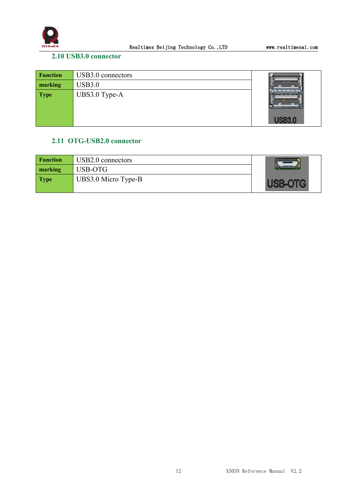

#### <span id="page-12-0"></span>**2.10 USB3.0 connector**

| <b>Function</b> | USB3.0 connectors | <u>the common part of the common part of the common part of the common part of the common part of the common part of the common part of the common part of the common part of the common part of the common part of the common p</u> |
|-----------------|-------------------|--------------------------------------------------------------------------------------------------------------------------------------------------------------------------------------------------------------------------------------|
| marking         | <b>USB3.0</b>     |                                                                                                                                                                                                                                      |
| <b>Type</b>     | UBS3.0 Type-A     |                                                                                                                                                                                                                                      |

#### <span id="page-12-1"></span>**2.11 OTG-USB2.0 connector**

| <b>Function</b> | USB2.0 connectors   |  |
|-----------------|---------------------|--|
| marking         | USB-OTG             |  |
| <b>Type</b>     | UBS3.0 Micro Type-B |  |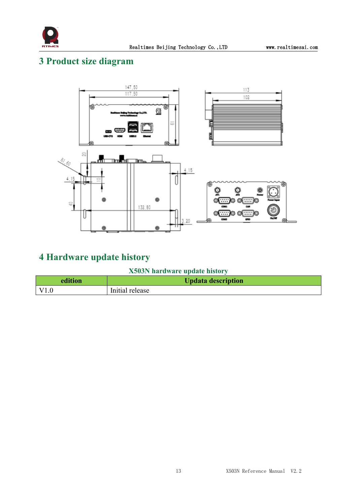

# <span id="page-13-0"></span>**3 Product size diagram**



# <span id="page-13-1"></span>**4 Hardware update history**

**X503N hardware update history**

| edition      | <b>Updata description</b> |
|--------------|---------------------------|
| $\vert$ V1.0 | Initial release           |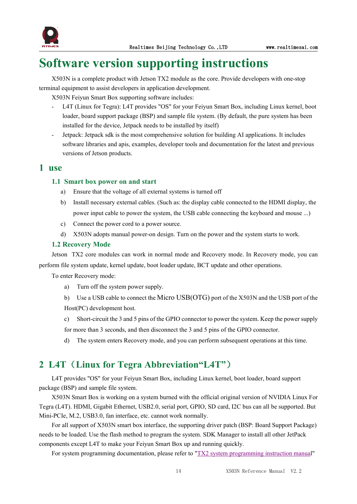

# <span id="page-14-0"></span>**Software version supporting instructions**

X503N is a complete product with Jetson TX2 module as the core. Provide developers with one-stop terminal equipment to assist developers in application development.

X503N Feiyun Smart Box supporting software includes:

- L4T (Linux for Tegra): L4T provides "OS" for your Feiyun Smart Box, including Linux kernel, boot loader, board support package (BSP) and sample file system. (By default, the pure system has been installed for the device, Jetpack needs to be installed by itself)
- Jetpack: Jetpack sdk is the most comprehensive solution for building AI applications. It includes software libraries and apis, examples, developer tools and documentation for the latest and previous versions of Jetson products.

#### <span id="page-14-1"></span>**1 use**

#### <span id="page-14-2"></span>1.1 **Smart** box power on and start

- a) Ensure that the voltage of all external systems is turned off
- b) Install necessary external cables. (Such as: the display cable connected to the HDMI display, the power input cable to power the system, the USB cable connecting the keyboard and mouse ...)
- c) Connect the power cord to a power source.
- d) X503N adopts manual power-on design. Turn on the power and the system starts to work.

#### <span id="page-14-3"></span>**1.2 Recovery Mode**

Jetson TX2 core modules can work in normal mode and Recovery mode. In Recovery mode, you can perform file system update, kernel update, boot loader update, BCT update and other operations.

To enter Recovery mode:

- a) Turn off the system power supply.
- b) Use a USB cable to connect the Micro USB(OTG) port of the X503N and the USB port of the Host(PC) development host.
- c) Short-circuit the 3 and 5 pins of the GPIO connector to power the system. Keep the power supply for more than 3 seconds, and then disconnect the 3 and 5 pins of the GPIO connector.
- d) The system enters Recovery mode, and you can perform subsequent operations at this time.

### <span id="page-14-4"></span>**2 L4T**(**Linux for Tegra Abbreviation"L4T"**)

L4T provides "OS" foryour Feiyun Smart Box, including Linux kernel, boot loader, board support package (BSP) and sample file system.

X503N Smart Box is working on a system burned with the officialoriginal version of NVIDIA Linux For Tegra (L4T). HDMI, Gigabit Ethernet, USB2.0, serial port, GPIO, SD card, I2C bus can all be supported. But Mini-PCIe, M.2, USB3.0, fan interface, etc. cannot work normally.

For all support of X503N smart box interface, the supporting driver patch (BSP: Board Support Package) needs to be loaded. Use the flash method to program the system. SDK Manager to install all other JetPack components except L4T to make your Feiyun Smart Box up and running quickly.

For system [programming](http://yun.realtimes.cn/) documentation, please refer to "TX2 system programming instruction manual"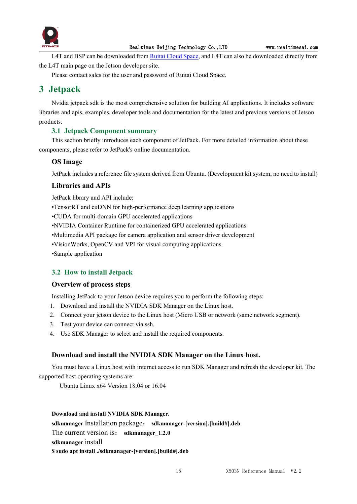

L4T and BSP can be downloaded from Ruitai [Cloud](yun.realtimes.cn) Space, and L4T can also be downloaded directly from the L4T main page on the Jetson developer site.

Please contact sales for the user and password of Ruitai Cloud Space.

### <span id="page-15-0"></span>**3 Jetpack**

Nvidia jetpack sdk is the most comprehensive solution for building AI applications. It includes software libraries and apis, examples, developer tools and documentation for the latest and previous versions of Jetson products.

#### <span id="page-15-1"></span>**3.1 Jetpack Component summary**

This section briefly introduces each component of JetPack. For more detailed information about these components, please refer to JetPack's online documentation.

#### **OS Image**

JetPack includes a reference file system derived from Ubuntu. (Development kit system, no need to install)

#### **Libraries and APIs**

JetPack library and API include:

•TensorRT and cuDNN for high-performance deep learning applications

•CUDA for multi-domain GPU accelerated applications

•NVIDIA Container Runtime for containerized GPU accelerated applications

•Multimedia API package for camera application and sensor driver development

•VisionWorks, OpenCV and VPI for visual computing applications

•Sample application

#### <span id="page-15-2"></span>**3.2 How to install Jetpack**

#### **Overview of process steps**

Installing JetPack to your Jetson device requires you to perform the following steps:

- 1. Download and install the NVIDIA SDK Manager on the Linux host.
- 2. Connect your jetson device to the Linux host (Micro USB or network (same network segment).
- 3. Test your device can connect via ssh.
- 4. Use SDK Manager to select and install the required components.

#### **Download and install the NVIDIA SDK Manager on the Linux host.**

You must have a Linux host with internet access to run SDK Manager and refresh the developer kit.The supported host operating systems are:

Ubuntu Linux x64 Version 18.04 or 16.04

#### **Download and install NVIDIA SDK Manager.**

**sdkmanager** Installation package: **sdkmanager-[version].[build#].deb** The current version is: sdkmanager 1.2.0 **sdkmanager** install

**\$ sudo apt install ./sdkmanager-[version].[build#].deb**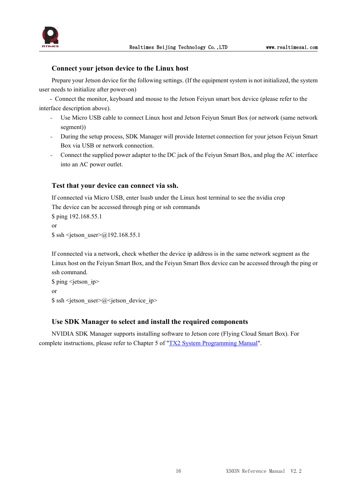



#### **Connect your jetson device to the Linux host**

Prepare your Jetson device for the following settings. (If the equipment system is not initialized, the system user needs to initialize after power-on)

- Connect the monitor, keyboard and mouse to the Jetson Feiyun smart box device (please refer to the interface description above).

- Use Micro USB cable to connect Linux host and Jetson Feiyun Smart Box (or network (same network segment))
- During the setup process, SDK Manager will provide Internet connection for your jetson Feiyun Smart Box via USB or network connection.
- Connect the supplied power adapter to the DC jack of the Feiyun Smart Box, and plug the AC interface into an AC power outlet.

#### **Test that your device can connect via ssh.**

If connected via Micro USB, enter lsusb under the Linux host terminal to see the nvidia crop The device can be accessed through ping or ssh commands \$ ping 192.168.55.1 or  $\$  ssh <ietson user> $\omega$ 192.168.55.1

If connected via a network, check whether the device ip address is in the same network segment as the Linux host on the Feiyun Smart Box, and the Feiyun Smart Box device can be accessed through the ping or ssh command.

```
$ ping <jetson ip>
or
\ ssh < jetson user\geq@< jetson device ip>
```
#### **Use SDK Manager to select and install the required components**

NVIDIA SDK Manager supports installing software to Jetson core (Flying Cloud Smart Box). For complete instructions, please refer to Chapter 5 of "TX2 System [Programming](http://yun.realtimes.cn/) Manual".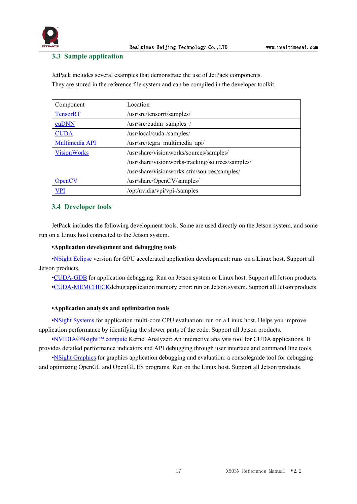

#### <span id="page-17-0"></span>**3.3 Sample application**

JetPack includes several examples that demonstrate the use of JetPack components. They are stored in the reference file system and can be compiled in the developer toolkit.

| Component          | Location                                         |
|--------------------|--------------------------------------------------|
| <b>TensorRT</b>    | /usr/src/tensorrt/samples/                       |
| cuDNN              | /usr/src/cudnn samples /                         |
| <b>CUDA</b>        | /usr/local/cuda-/samples/                        |
| Multimedia API     | /usr/src/tegra multimedia api/                   |
| <b>VisionWorks</b> | /usr/share/visionworks/sources/samples/          |
|                    | /usr/share/visionworks-tracking/sources/samples/ |
|                    | /usr/share/visionworks-sfm/sources/samples/      |
| <b>OpenCV</b>      | /usr/share/OpenCV/samples/                       |
| <b>VPI</b>         | /opt/nvidia/vpi/vpi-/samples                     |

#### <span id="page-17-1"></span>**3.4 Developer tools**

JetPack includes the following development tools. Some are used directly on the Jetson system, and some run on a Linux host connected to the Jetson system.

#### **•Application development and debugging tools**

•NSight [Eclipse](https://developer.nvidia.com/nsight-eclipse-edition) version for GPU accelerated application development: runs on a Linux host. Support all Jetson products.

•[CUDA-GDB](https://developer.nvidia.com/cuda-gdb) for application debugging: Run on Jetson system or Linux host. Support all Jetson products. •[CUDA-MEMCHECKd](https://developer.nvidia.com/CUDA-MEMCHECK)ebug application memory error: run on Jetson system. Support all Jetson products.

#### **•Application analysis and optimization tools**

•NSight [Systems](https://developer.nvidia.com/nsight-systems) for application multi-core CPU evaluation: run on a Linux host. Helps you improve application performance by identifying the slower parts of the code. Support all Jetson products.

•[NVIDIA®Nsight™](https://developer.nvidia.com/nsight-compute) compute Kernel Analyzer: An interactive analysis tool for CUDA applications. It provides detailed performance indicators and API debugging through user interface and command line tools.

•NSight [Graphics](https://developer.nvidia.com/nsight-graphics) for graphics application debugging and evaluation: a consolegrade tool for debugging and optimizing OpenGL and OpenGL ES programs. Run on the Linux host. Support all Jetson products.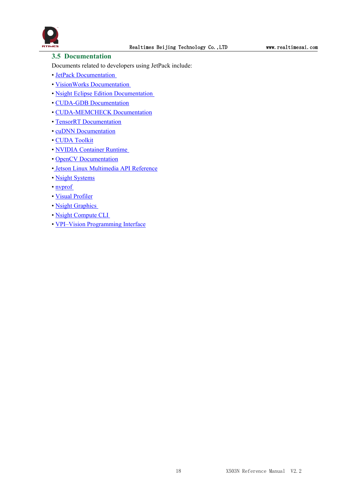

#### <span id="page-18-0"></span>**3.5 Documentation**

Documents related to developers using JetPack include:

- JetPack [Documentation](https://docs.nvidia.com/jetson/jetpack/index.html)
- VisionWorks [Documentation](https://developer.nvidia.com/embedded/visionworks)
- Nsight Eclipse Edition [Documentation](https://docs.nvidia.com/cuda/nsight-eclipse-edition-getting-started-guide/index.html)
- CUDA-GDB [Documentation](http://docs.nvidia.com/cuda/cuda-gdb/index.html)
- [CUDA-MEMCHECK](http://docs.nvidia.com/cuda/cuda-memcheck/index.html) Documentation
- TensorRT [Documentation](https://docs.nvidia.com/deeplearning/sdk/tensorrt-developer-guide/index.html)
- cuDNN [Documentation](https://docs.nvidia.com/deeplearning/sdk/cudnn-developer-guide/index.html)
- CUDA [Toolkit](https://docs.nvidia.com/cuda/index.html)
- NVIDIA [Container](https://www.google.com/url?q=https://github.com/NVIDIA/nvidia-docker/wiki%23platform-support&sa=D&ust=1562106101392000&usg=AFQjCNG6YZBlyXRWjcpGIYF8fkBkYt9RsA) Runtime
- OpenCV [Documentation](https://developer.nvidia.com/opencv)
- Jetson Linux [Multimedia](https://docs.nvidia.com/jetson/l4t-multimedia/index.html) API Reference
- Nsight [Systems](https://docs.nvidia.com/nsight-systems/index.html)
- [nvprof](https://docs.nvidia.com/cuda/profiler-users-guide/index.html)
- Visual [Profiler](http://docs.nvidia.com/cuda/profiler-users-guide/index.html)
- Nsight [Graphics](https://docs.nvidia.com/nsight-graphics/index.html)
- Nsight [Compute](https://docs.nvidia.com/nsight-compute/NsightComputeCli/index.html) CLI
- VPI–Vision [Programming](https://docs.nvidia.com/vpi/index.html) Interface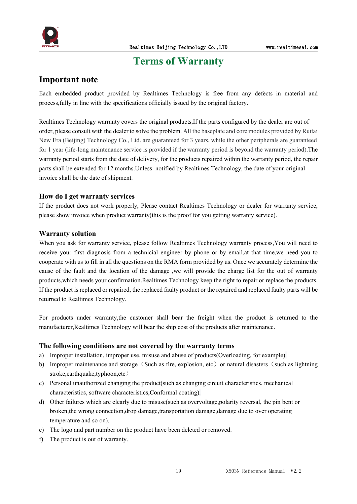

# <span id="page-19-0"></span>**Terms** of Warranty

#### **Important note**

Each embedded product provided by Realtimes Technology is free from any defects in material and process,fully in line with the specifications officially issued by the original factory.

Realtimes Technology warranty covers the original products,If the parts configured by the dealer are out of order, please consultwith the dealer to solve the problem. All the baseplate and core modules provided by Ruitai New Era (Beijing) Technology Co., Ltd. are guaranteed for 3 years, while the other peripherals are guaranteed for 1 year (life-long maintenance service is provided if the warranty period is beyond the warranty period).The warranty period starts from the date of delivery, for the products repaired within the warranty period, the repair parts shall be extended for 12 months. Unless notified by Realtimes Technology, the date of your original invoice shall be the date of shipment.

#### **How do I get warranty services**

If the product does not work properly, Please contact Realtimes Technology or dealer for warranty service, please show invoice when product warranty(this is the proof for you getting warranty service).

#### **Warranty solution**

When you ask for warranty service, please follow Realtimes Technology warranty process,You will need to receive your first diagnosis from a technicial engineer by phone or by email,at that time,we need you to cooperate with us to fill in all the questions on the RMA form provided by us. Once we accurately determine the cause of the fault and the location of the damage ,we will provide the charge list for the out of warranty products,which needs your confirmation.Realtimes Technology keep the right to repair or replace the products. If the product is replaced or repaired, the replaced faulty product or the repaired and replaced faulty parts will be returned to Realtimes Technology.

For products under warranty, the customer shall bear the freight when the product is returned to the manufacturer,Realtimes Technology will bear the ship cost of the products after maintenance.

#### **The following conditions are not covered by the warranty terms**

- a) Improper installation, improper use, misuse and abuse of products(Overloading, for example).
- b) Improper maintenance and storage (Such as fire, explosion, etc) or natural disasters (such as lightning stroke,earthquake,typhoon,etc)
- c) Personal unauthorized changing the product(such as changing circuit characteristics, mechanical characteristics, software characteristics,Conformal coating).
- d) Other failures which are clearly due to misuse(such as overvoltage,polarity reversal, the pin bent or broken,the wrong connection,drop damage,transportation damage,damage due to over operating temperature and so on).
- e) The logo and part number on the product have been deleted or removed.
- f) The product is out of warranty.